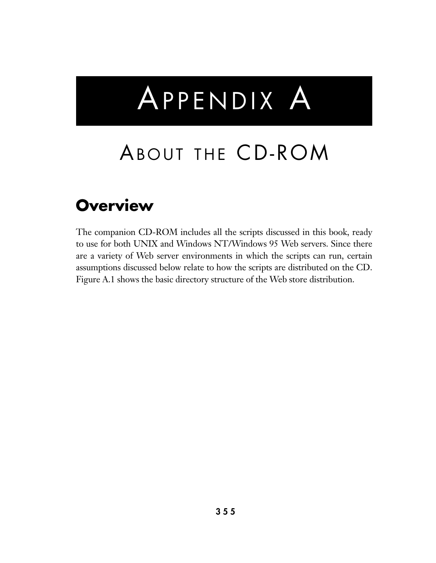# APPENDIX A

## ABOUT THE CD-ROM

## **Overview**

The companion CD-ROM includes all the scripts discussed in this book, ready to use for both UNIX and Windows NT/Windows 95 Web servers. Since there are a variety of Web server environments in which the scripts can run, certain assumptions discussed below relate to how the scripts are distributed on the CD. Figure A.1 shows the basic directory structure of the Web store distribution.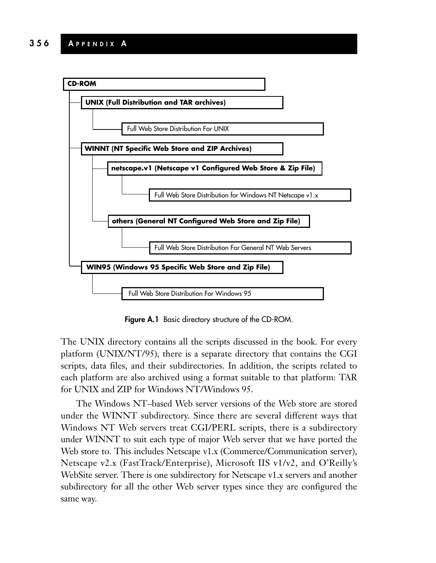

**Figure A.1** Basic directory structure of the CD-ROM.

The UNIX directory contains all the scripts discussed in the book. For every platform (UNIX/NT/95), there is a separate directory that contains the CGI scripts, data files, and their subdirectories. In addition, the scripts related to each platform are also archived using a format suitable to that platform: TAR for UNIX and ZIP for Windows NT/Windows 95.

The Windows NT–based Web server versions of the Web store are stored under the WINNT subdirectory. Since there are several different ways that Windows NT Web servers treat CGI/PERL scripts, there is a subdirectory under WINNT to suit each type of major Web server that we have ported the Web store to. This includes Netscape v1.x (Commerce/Communication server), Netscape v2.x (FastTrack/Enterprise), Microsoft IIS v1/v2, and O'Reilly's WebSite server. There is one subdirectory for Netscape v1.x servers and another subdirectory for all the other Web server types since they are configured the same way.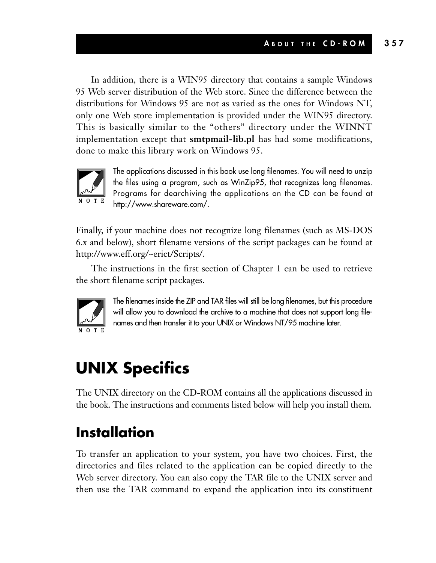In addition, there is a WIN95 directory that contains a sample Windows 95 Web server distribution of the Web store. Since the difference between the distributions for Windows 95 are not as varied as the ones for Windows NT, only one Web store implementation is provided under the WIN95 directory. This is basically similar to the "others" directory under the WINNT implementation except that **smtpmail-lib.pl** has had some modifications, done to make this library work on Windows 95.



The applications discussed in this book use long filenames. You will need to unzip the files using a program, such as WinZip95, that recognizes long filenames. Programs for dearchiving the applications on the CD can be found at http://www.shareware.com/.

Finally, if your machine does not recognize long filenames (such as MS-DOS 6.x and below), short filename versions of the script packages can be found at http://www.eff.org/~erict/Scripts/.

The instructions in the first section of Chapter 1 can be used to retrieve the short filename script packages.



The filenames inside the ZIP and TAR files will still be long filenames, but this procedure will allow you to download the archive to a machine that does not support long filenames and then transfer it to your UNIX or Windows NT/95 machine later.

## **UNIX Specifics**

The UNIX directory on the CD-ROM contains all the applications discussed in the book. The instructions and comments listed below will help you install them.

## **Installation**

To transfer an application to your system, you have two choices. First, the directories and files related to the application can be copied directly to the Web server directory. You can also copy the TAR file to the UNIX server and then use the TAR command to expand the application into its constituent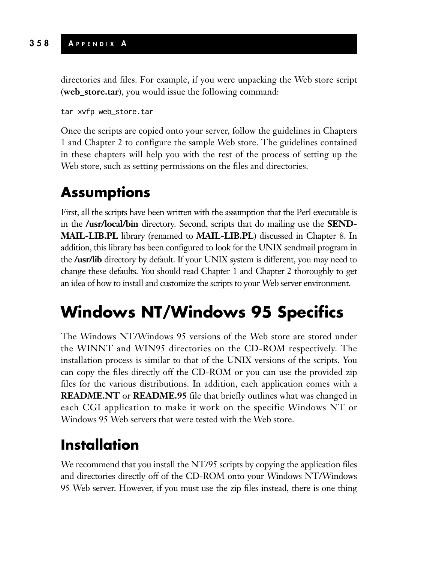directories and files. For example, if you were unpacking the Web store script (**web\_store.tar**), you would issue the following command:

tar xvfp web\_store.tar

Once the scripts are copied onto your server, follow the guidelines in Chapters 1 and Chapter 2 to configure the sample Web store. The guidelines contained in these chapters will help you with the rest of the process of setting up the Web store, such as setting permissions on the files and directories.

#### **Assumptions**

First, all the scripts have been written with the assumption that the Perl executable is in the **/usr/local/bin** directory. Second, scripts that do mailing use the **SEND-MAIL-LIB.PL** library (renamed to **MAIL-LIB.PL**) discussed in Chapter 8. In addition, this library has been configured to look for the UNIX sendmail program in the **/usr/lib** directory by default. If your UNIX system is different, you may need to change these defaults. You should read Chapter 1 and Chapter 2 thoroughly to get an idea of how to install and customize the scripts to your Web server environment.

## **Windows NT/Windows 95 Specifics**

The Windows NT/Windows 95 versions of the Web store are stored under the WINNT and WIN95 directories on the CD-ROM respectively. The installation process is similar to that of the UNIX versions of the scripts. You can copy the files directly off the CD-ROM or you can use the provided zip files for the various distributions. In addition, each application comes with a **README.NT** or **README.95** file that briefly outlines what was changed in each CGI application to make it work on the specific Windows NT or Windows 95 Web servers that were tested with the Web store.

## **Installation**

We recommend that you install the NT/95 scripts by copying the application files and directories directly off of the CD-ROM onto your Windows NT/Windows 95 Web server. However, if you must use the zip files instead, there is one thing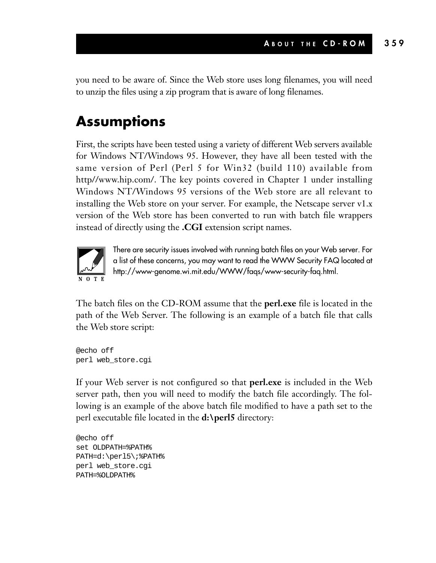you need to be aware of. Since the Web store uses long filenames, you will need to unzip the files using a zip program that is aware of long filenames.

#### **Assumptions**

First, the scripts have been tested using a variety of different Web servers available for Windows NT/Windows 95. However, they have all been tested with the same version of Perl (Perl 5 for Win32 (build 110) available from http//www.hip.com/. The key points covered in Chapter 1 under installing Windows NT/Windows 95 versions of the Web store are all relevant to installing the Web store on your server. For example, the Netscape server v1.x version of the Web store has been converted to run with batch file wrappers instead of directly using the **.CGI** extension script names.



There are security issues involved with running batch files on your Web server. For a list of these concerns, you may want to read the WWW Security FAQ located at http://www-genome.wi.mit.edu/WWW/faqs/www-security-faq.html.

The batch files on the CD-ROM assume that the **perl.exe** file is located in the path of the Web Server. The following is an example of a batch file that calls the Web store script:

@echo off perl web\_store.cgi

If your Web server is not configured so that **perl.exe** is included in the Web server path, then you will need to modify the batch file accordingly. The following is an example of the above batch file modified to have a path set to the perl executable file located in the **d:\perl5** directory:

```
@echo off
set OLDPATH=%PATH%
PATH=d:\perl5\;%PATH%
perl web_store.cgi
PATH=%OLDPATH%
```